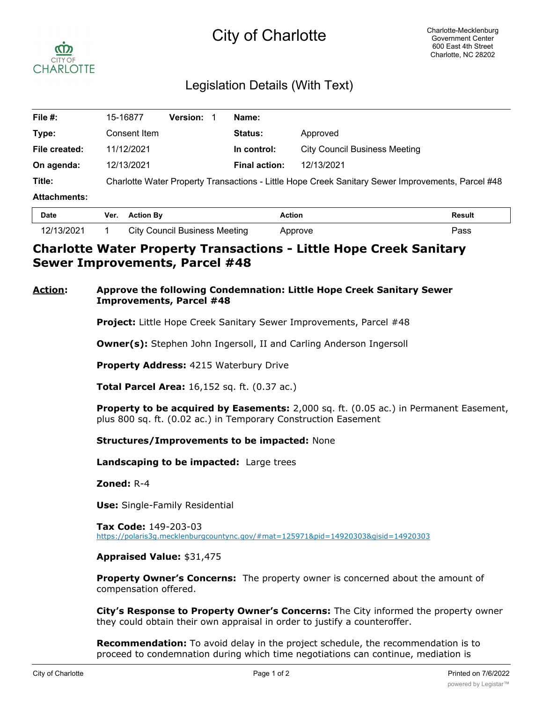# City of Charlotte



## Legislation Details (With Text)

| File #:             | 15-16877                                                                                          | <b>Version:</b> | Name:                |                                      |  |
|---------------------|---------------------------------------------------------------------------------------------------|-----------------|----------------------|--------------------------------------|--|
| Type:               | Consent Item                                                                                      |                 | <b>Status:</b>       | Approved                             |  |
| File created:       | 11/12/2021                                                                                        |                 | In control:          | <b>City Council Business Meeting</b> |  |
| On agenda:          | 12/13/2021                                                                                        |                 | <b>Final action:</b> | 12/13/2021                           |  |
| Title:              | Charlotte Water Property Transactions - Little Hope Creek Sanitary Sewer Improvements, Parcel #48 |                 |                      |                                      |  |
| <b>Attachments:</b> |                                                                                                   |                 |                      |                                      |  |
| - -                 | $\mathbf{r}$ and $\mathbf{r}$                                                                     |                 |                      | .<br>- "                             |  |

| <b>Date</b> | Ver. | <b>Action By</b>                     | Action  | Result           |
|-------------|------|--------------------------------------|---------|------------------|
| 12/13/2021  |      | <b>City Council Business Meeting</b> | Approve | פs⊳ <sup>נ</sup> |

## **Charlotte Water Property Transactions - Little Hope Creek Sanitary Sewer Improvements, Parcel #48**

#### **Action: Approve the following Condemnation: Little Hope Creek Sanitary Sewer Improvements, Parcel #48**

**Project:** Little Hope Creek Sanitary Sewer Improvements, Parcel #48

**Owner(s):** Stephen John Ingersoll, II and Carling Anderson Ingersoll

**Property Address:** 4215 Waterbury Drive

**Total Parcel Area:** 16,152 sq. ft. (0.37 ac.)

**Property to be acquired by Easements:** 2,000 sq. ft. (0.05 ac.) in Permanent Easement, plus 800 sq. ft. (0.02 ac.) in Temporary Construction Easement

**Structures/Improvements to be impacted:** None

**Landscaping to be impacted:** Large trees

**Zoned:** R-4

**Use:** Single-Family Residential

**Tax Code:** 149-203-03 https://polaris3g.mecklenburgcountync.gov/#mat=125971&pid=14920303&gisid=14920303

#### **Appraised Value:** \$31,475

**Property Owner's Concerns:** The property owner is concerned about the amount of compensation offered.

**City's Response to Property Owner's Concerns:** The City informed the property owner they could obtain their own appraisal in order to justify a counteroffer.

**Recommendation:** To avoid delay in the project schedule, the recommendation is to proceed to condemnation during which time negotiations can continue, mediation is